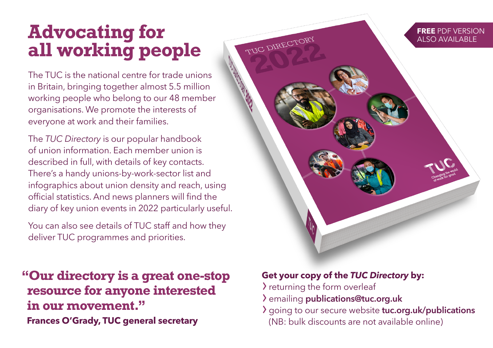## **Advocating for all working people**

The TUC is the national centre for trade unions in Britain, bringing together almost 5.5 million working people who belong to our 48 member organisations. We promote the interests of everyone at work and their families.

The *TUC Directory* is our popular handbook of union information. Each member union is described in full, with details of key contacts. There's a handy unions-by-work-sector list and infographics about union density and reach, using official statistics. And news planners will find the diary of key union events in 2022 particularly useful.

You can also see details of TUC staff and how they deliver TUC programmes and priorities.

**"Our directory is a great one-stop resource for anyone interested in our movement." Frances O'Grady, TUC general secretary**

#### **Get your copy of the** *TUC Directory* **by:**

 $\lambda$  returning the form overleaf

TUC DIRECTORY

- › emailing publications@tuc.org.uk
- > going to our secure website tuc.org.uk/publications
	- (NB: bulk discounts are not available online)

**FREE** PDF VERSION ALSO AVAILABLE